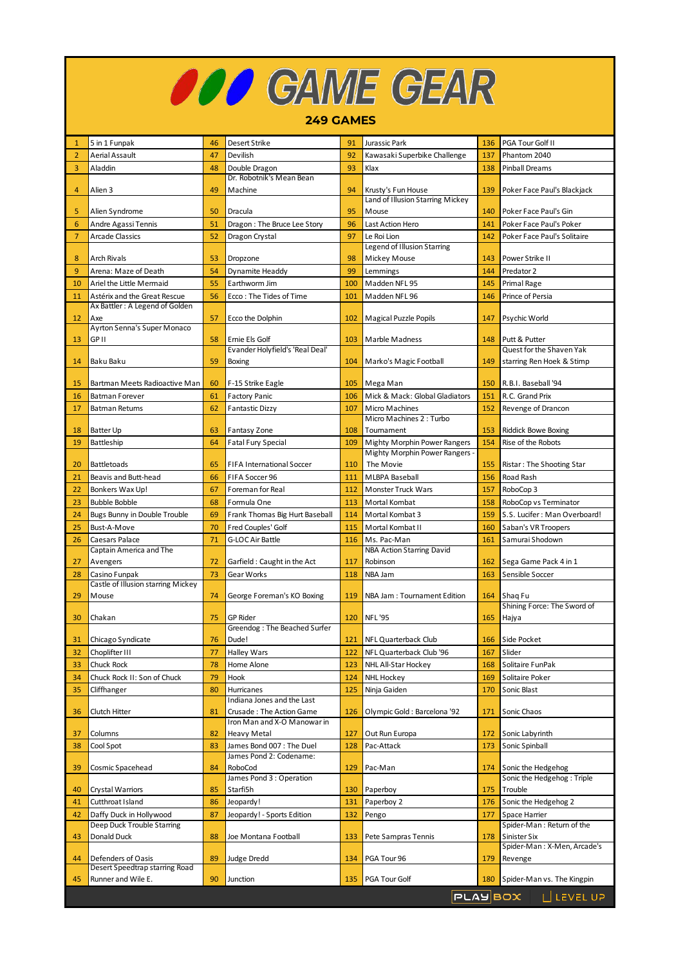| <b>OOO</b> GAME GEAR<br><b>249 GAMES</b> |                                           |    |                                                        |     |                                                        |     |                                                    |  |  |  |  |
|------------------------------------------|-------------------------------------------|----|--------------------------------------------------------|-----|--------------------------------------------------------|-----|----------------------------------------------------|--|--|--|--|
|                                          |                                           |    |                                                        |     |                                                        |     |                                                    |  |  |  |  |
| 1                                        | 5 in 1 Funpak                             | 46 | Desert Strike                                          | 91  | Jurassic Park                                          | 136 | PGA Tour Golf II                                   |  |  |  |  |
| $\overline{2}$                           | Aerial Assault                            | 47 | Devilish                                               | 92  | Kawasaki Superbike Challenge                           | 137 | Phantom 2040                                       |  |  |  |  |
| 3                                        | Aladdin                                   | 48 | Double Dragon                                          | 93  | Klax                                                   | 138 | <b>Pinball Dreams</b>                              |  |  |  |  |
| 4                                        | Alien 3                                   | 49 | Dr. Robotnik's Mean Bean<br>Machine                    | 94  | Krusty's Fun House<br>Land of Illusion Starring Mickey | 139 | Poker Face Paul's Blackjack                        |  |  |  |  |
| 5                                        | Alien Syndrome                            | 50 | Dracula                                                | 95  | Mouse                                                  | 140 | Poker Face Paul's Gin                              |  |  |  |  |
| $6\phantom{1}6$                          | Andre Agassi Tennis                       | 51 | Dragon: The Bruce Lee Story                            | 96  | Last Action Hero                                       | 141 | Poker Face Paul's Poker                            |  |  |  |  |
| $\overline{7}$                           | <b>Arcade Classics</b>                    | 52 | Dragon Crystal                                         | 97  | Le Roi Lion                                            | 142 | Poker Face Paul's Solitaire                        |  |  |  |  |
|                                          |                                           |    |                                                        |     | Legend of Illusion Starring                            |     |                                                    |  |  |  |  |
| 8                                        | Arch Rivals                               | 53 | Dropzone                                               | 98  | Mickey Mouse                                           | 143 | Power Strike II                                    |  |  |  |  |
| 9                                        | Arena: Maze of Death                      | 54 | Dynamite Headdy                                        | 99  | Lemmings                                               | 144 | Predator 2                                         |  |  |  |  |
| 10                                       | Ariel the Little Mermaid                  | 55 | Earthworm Jim                                          | 100 | Madden NFL 95                                          | 145 | Primal Rage                                        |  |  |  |  |
| 11                                       | Astérix and the Great Rescue              | 56 | Ecco: The Tides of Time                                | 101 | Madden NFL 96                                          | 146 | Prince of Persia                                   |  |  |  |  |
|                                          | Ax Battler: A Legend of Golden            |    |                                                        |     |                                                        |     |                                                    |  |  |  |  |
| 12                                       | Axe<br><b>Ayrton Senna's Super Monaco</b> | 57 | Ecco the Dolphin                                       | 102 | Magical Puzzle Popils                                  | 147 | Psychic World                                      |  |  |  |  |
| 13                                       | <b>GPII</b>                               | 58 | Ernie Els Golf                                         | 103 | Marble Madness                                         | 148 | Putt & Putter                                      |  |  |  |  |
|                                          |                                           |    | Evander Holyfield's 'Real Deal'                        |     |                                                        |     | Quest for the Shaven Yak                           |  |  |  |  |
| 14                                       | Baku Baku                                 | 59 | Boxing                                                 | 104 | Marko's Magic Football                                 | 149 | starring Ren Hoek & Stimp                          |  |  |  |  |
|                                          |                                           |    |                                                        |     |                                                        |     |                                                    |  |  |  |  |
| 15                                       | Bartman Meets Radioactive Man             | 60 | F-15 Strike Eagle                                      | 105 | Mega Man                                               | 150 | R.B.I. Baseball '94                                |  |  |  |  |
| 16                                       | <b>Batman Forever</b>                     | 61 | Factory Panic                                          | 106 | Mick & Mack: Global Gladiators                         | 151 | R.C. Grand Prix                                    |  |  |  |  |
| 17                                       | <b>Batman Returns</b>                     | 62 | <b>Fantastic Dizzy</b>                                 | 107 | Micro Machines<br>Micro Machines 2: Turbo              | 152 | Revenge of Drancon                                 |  |  |  |  |
| 18                                       | <b>Batter Up</b>                          | 63 | Fantasy Zone                                           | 108 | Tournament                                             | 153 | <b>Riddick Bowe Boxing</b>                         |  |  |  |  |
| 19                                       | Battleship                                | 64 | Fatal Fury Special                                     | 109 | <b>Mighty Morphin Power Rangers</b>                    | 154 | Rise of the Robots                                 |  |  |  |  |
|                                          |                                           |    |                                                        |     | Mighty Morphin Power Rangers -                         |     |                                                    |  |  |  |  |
| 20                                       | <b>Battletoads</b>                        | 65 | FIFA International Soccer                              | 110 | The Movie                                              | 155 | Ristar: The Shooting Star                          |  |  |  |  |
| 21                                       | Beavis and Butt-head                      | 66 | FIFA Soccer 96                                         | 111 | <b>MLBPA Baseball</b>                                  | 156 | Road Rash                                          |  |  |  |  |
| 22                                       | Bonkers Wax Up!                           | 67 | Foreman for Real                                       | 112 | Monster Truck Wars                                     | 157 | RoboCop 3                                          |  |  |  |  |
| 23                                       | <b>Bubble Bobble</b>                      | 68 | Formula One                                            | 113 | Mortal Kombat                                          | 158 | RoboCop vs Terminator                              |  |  |  |  |
| 24                                       | Bugs Bunny in Double Trouble              | 69 | Frank Thomas Big Hurt Baseball                         | 114 | Mortal Kombat 3                                        | 159 | S.S. Lucifer: Man Overboard!                       |  |  |  |  |
| 25                                       | Bust-A-Move                               | 70 | Fred Couples' Golf                                     | 115 | Mortal Kombat II                                       | 160 | Saban's VR Troopers                                |  |  |  |  |
| 26                                       | Caesars Palace<br>Captain America and The | 71 | G-LOC Air Battle                                       | 116 | Ms. Pac-Man<br><b>NBA Action Starring David</b>        | 161 | Samurai Shodown                                    |  |  |  |  |
| 27                                       | Avengers                                  | 72 | Garfield: Caught in the Act                            | 117 | Robinson                                               | 162 | Sega Game Pack 4 in 1                              |  |  |  |  |
| 28                                       | Casino Funpak                             | 73 | Gear Works                                             | 118 | NBA Jam                                                | 163 | Sensible Soccer                                    |  |  |  |  |
|                                          | Castle of Illusion starring Mickey        |    |                                                        |     |                                                        |     |                                                    |  |  |  |  |
| 29                                       | Mouse                                     | 74 | George Foreman's KO Boxing                             | 119 | NBA Jam : Tournament Edition                           | 164 | Shag Fu                                            |  |  |  |  |
|                                          |                                           |    |                                                        |     |                                                        |     | Shining Force: The Sword of                        |  |  |  |  |
| 30                                       | Chakan                                    | 75 | <b>GP Rider</b><br>Greendog: The Beached Surfer        | 120 | <b>NFL '95</b>                                         | 165 | Hajya                                              |  |  |  |  |
| 31                                       | Chicago Syndicate                         | 76 | Dude!                                                  | 121 | NFL Quarterback Club                                   | 166 | Side Pocket                                        |  |  |  |  |
| 32                                       | Choplifter III                            | 77 | Halley Wars                                            | 122 | NFL Quarterback Club '96                               | 167 | Slider                                             |  |  |  |  |
| 33                                       | Chuck Rock                                | 78 | Home Alone                                             | 123 | NHL All-Star Hockey                                    | 168 | Solitaire FunPak                                   |  |  |  |  |
| 34                                       | Chuck Rock II: Son of Chuck               | 79 | Hook                                                   | 124 | NHL Hockey                                             | 169 | Solitaire Poker                                    |  |  |  |  |
| 35                                       | Cliffhanger                               | 80 | Hurricanes                                             | 125 | Ninja Gaiden                                           | 170 | Sonic Blast                                        |  |  |  |  |
| 36                                       | Clutch Hitter                             | 81 | Indiana Jones and the Last<br>Crusade: The Action Game | 126 | Olympic Gold: Barcelona '92                            | 171 | Sonic Chaos                                        |  |  |  |  |
|                                          |                                           |    | Iron Man and X-O Manowar in                            |     |                                                        |     |                                                    |  |  |  |  |
| 37                                       | Columns                                   | 82 | <b>Heavy Metal</b>                                     | 127 | Out Run Europa                                         | 172 | Sonic Labyrinth                                    |  |  |  |  |
| 38                                       | Cool Spot                                 | 83 | James Bond 007: The Duel<br>James Pond 2: Codename:    | 128 | Pac-Attack                                             | 173 | Sonic Spinball                                     |  |  |  |  |
| 39                                       | Cosmic Spacehead                          | 84 | RoboCod                                                | 129 | Pac-Man                                                | 174 | Sonic the Hedgehog                                 |  |  |  |  |
| 40                                       | Crystal Warriors                          | 85 | James Pond 3 : Operation<br>Starfi5h                   | 130 | Paperboy                                               | 175 | Sonic the Hedgehog: Triple<br>Trouble              |  |  |  |  |
| 41                                       | Cutthroat Island                          | 86 | Jeopardy!                                              | 131 | Paperboy 2                                             | 176 | Sonic the Hedgehog 2                               |  |  |  |  |
| 42                                       | Daffy Duck in Hollywood                   | 87 | Jeopardy! - Sports Edition                             | 132 | Pengo                                                  | 177 | Space Harrier                                      |  |  |  |  |
|                                          | Deep Duck Trouble Starring                |    |                                                        |     |                                                        |     | Spider-Man: Return of the                          |  |  |  |  |
| 43                                       | Donald Duck                               | 88 | Joe Montana Football                                   | 133 | Pete Sampras Tennis                                    | 178 | Sinister Six                                       |  |  |  |  |
| 44                                       | Defenders of Oasis                        | 89 | <b>Judge Dredd</b>                                     | 134 | PGA Tour 96                                            | 179 | Spider-Man: X-Men, Arcade's<br>Revenge             |  |  |  |  |
|                                          | Desert Speedtrap starring Road            |    |                                                        |     |                                                        |     |                                                    |  |  |  |  |
| 45                                       | Runner and Wile E.                        | 90 | Junction                                               | 135 | PGA Tour Golf                                          | 180 | Spider-Man vs. The Kingpin<br>PLAYBOX   LILEVEL UP |  |  |  |  |

Г